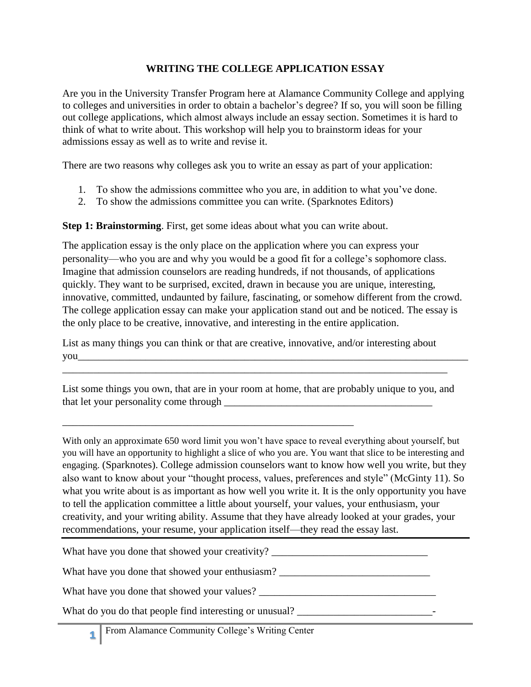## **WRITING THE COLLEGE APPLICATION ESSAY**

Are you in the University Transfer Program here at Alamance Community College and applying to colleges and universities in order to obtain a bachelor's degree? If so, you will soon be filling out college applications, which almost always include an essay section. Sometimes it is hard to think of what to write about. This workshop will help you to brainstorm ideas for your admissions essay as well as to write and revise it.

There are two reasons why colleges ask you to write an essay as part of your application:

- 1. To show the admissions committee who you are, in addition to what you've done.
- 2. To show the admissions committee you can write. (Sparknotes Editors)

**Step 1: Brainstorming**. First, get some ideas about what you can write about.

The application essay is the only place on the application where you can express your personality—who you are and why you would be a good fit for a college's sophomore class. Imagine that admission counselors are reading hundreds, if not thousands, of applications quickly. They want to be surprised, excited, drawn in because you are unique, interesting, innovative, committed, undaunted by failure, fascinating, or somehow different from the crowd. The college application essay can make your application stand out and be noticed. The essay is the only place to be creative, innovative, and interesting in the entire application.

List as many things you can think or that are creative, innovative, and/or interesting about you\_\_\_\_\_\_\_\_\_\_\_\_\_\_\_\_\_\_\_\_\_\_\_\_\_\_\_\_\_\_\_\_\_\_\_\_\_\_\_\_\_\_\_\_\_\_\_\_\_\_\_\_\_\_\_\_\_\_\_\_\_\_\_\_\_\_\_\_\_\_\_\_\_\_\_

\_\_\_\_\_\_\_\_\_\_\_\_\_\_\_\_\_\_\_\_\_\_\_\_\_\_\_\_\_\_\_\_\_\_\_\_\_\_\_\_\_\_\_\_\_\_\_\_\_\_\_\_\_\_\_\_\_\_\_\_\_\_\_\_\_\_\_\_\_\_\_\_\_\_

List some things you own, that are in your room at home, that are probably unique to you, and that let your personality come through  $\mathbb{R}$ 

With only an approximate 650 word limit you won't have space to reveal everything about yourself, but you will have an opportunity to highlight a slice of who you are. You want that slice to be interesting and engaging. (Sparknotes). College admission counselors want to know how well you write, but they also want to know about your "thought process, values, preferences and style" (McGinty 11). So what you write about is as important as how well you write it. It is the only opportunity you have to tell the application committee a little about yourself, your values, your enthusiasm, your creativity, and your writing ability. Assume that they have already looked at your grades, your recommendations, your resume, your application itself—they read the essay last.

What have you done that showed your creativity? \_\_\_\_\_\_\_\_\_\_\_\_\_\_\_\_\_\_\_\_\_\_\_\_\_\_\_\_\_\_\_\_

What have you done that showed your enthusiasm? \_\_\_\_\_\_\_\_\_\_\_\_\_\_\_\_\_\_\_\_\_\_\_\_\_\_\_\_\_\_\_\_

What have you done that showed your values? \_\_\_\_\_\_\_\_\_\_\_\_\_\_\_\_\_\_\_\_\_\_\_\_\_\_\_\_\_\_\_\_\_\_

What do you do that people find interesting or unusual? \_\_\_\_\_\_\_\_\_\_\_\_\_\_\_\_\_\_\_\_\_\_\_\_\_\_-

\_\_\_\_\_\_\_\_\_\_\_\_\_\_\_\_\_\_\_\_\_\_\_\_\_\_\_\_\_\_\_\_\_\_\_\_\_\_\_\_\_\_\_\_\_\_\_\_\_\_\_\_\_\_\_\_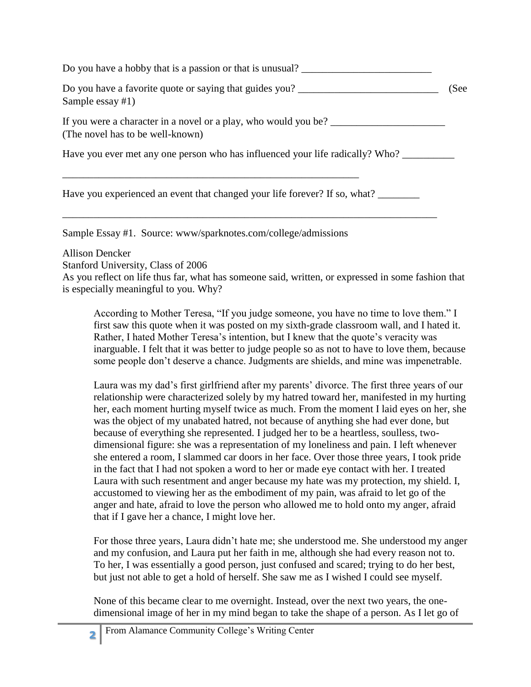Do you have a hobby that is a passion or that is unusual? Do you have a favorite quote or saying that guides you? \_\_\_\_\_\_\_\_\_\_\_\_\_\_\_\_\_\_\_\_\_\_\_\_\_\_\_ (See Sample essay #1) If you were a character in a novel or a play, who would you be? \_\_\_\_\_\_\_\_\_\_\_\_\_\_\_\_\_\_\_\_\_\_ (The novel has to be well-known) Have you ever met any one person who has influenced your life radically? Who? \_\_\_\_\_\_\_\_\_\_\_\_\_\_\_\_\_\_\_\_\_\_\_\_\_\_\_\_\_\_\_\_ \_\_\_\_\_\_\_\_\_\_\_\_\_\_\_\_\_\_\_\_\_\_\_\_\_\_\_\_\_\_\_\_\_\_\_\_\_\_\_\_\_\_\_\_\_\_\_\_\_\_\_\_\_\_\_\_\_ Have you experienced an event that changed your life forever? If so, what?

Sample Essay #1. Source: www/sparknotes.com/college/admissions

Allison Dencker

Stanford University, Class of 2006

As you reflect on life thus far, what has someone said, written, or expressed in some fashion that is especially meaningful to you. Why?

\_\_\_\_\_\_\_\_\_\_\_\_\_\_\_\_\_\_\_\_\_\_\_\_\_\_\_\_\_\_\_\_\_\_\_\_\_\_\_\_\_\_\_\_\_\_\_\_\_\_\_\_\_\_\_\_\_\_\_\_\_\_\_\_\_\_\_\_\_\_\_\_

According to Mother Teresa, "If you judge someone, you have no time to love them." I first saw this quote when it was posted on my sixth-grade classroom wall, and I hated it. Rather, I hated Mother Teresa's intention, but I knew that the quote's veracity was inarguable. I felt that it was better to judge people so as not to have to love them, because some people don't deserve a chance. Judgments are shields, and mine was impenetrable.

Laura was my dad's first girlfriend after my parents' divorce. The first three years of our relationship were characterized solely by my hatred toward her, manifested in my hurting her, each moment hurting myself twice as much. From the moment I laid eyes on her, she was the object of my unabated hatred, not because of anything she had ever done, but because of everything she represented. I judged her to be a heartless, soulless, twodimensional figure: she was a representation of my loneliness and pain. I left whenever she entered a room, I slammed car doors in her face. Over those three years, I took pride in the fact that I had not spoken a word to her or made eye contact with her. I treated Laura with such resentment and anger because my hate was my protection, my shield. I, accustomed to viewing her as the embodiment of my pain, was afraid to let go of the anger and hate, afraid to love the person who allowed me to hold onto my anger, afraid that if I gave her a chance, I might love her.

For those three years, Laura didn't hate me; she understood me. She understood my anger and my confusion, and Laura put her faith in me, although she had every reason not to. To her, I was essentially a good person, just confused and scared; trying to do her best, but just not able to get a hold of herself. She saw me as I wished I could see myself.

None of this became clear to me overnight. Instead, over the next two years, the onedimensional image of her in my mind began to take the shape of a person. As I let go of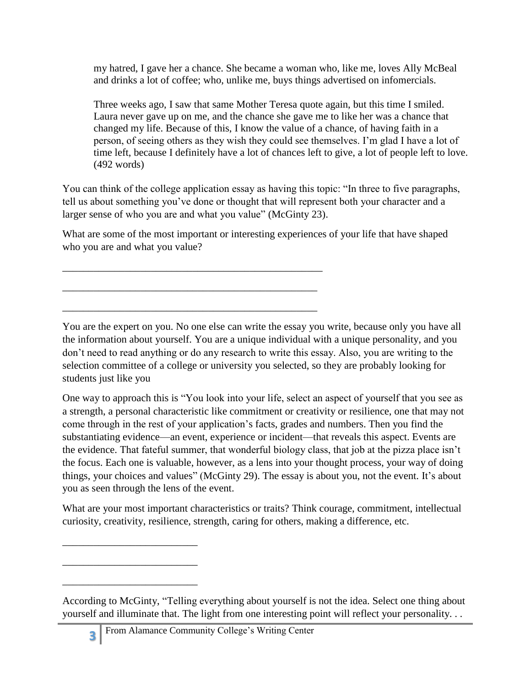my hatred, I gave her a chance. She became a woman who, like me, loves Ally McBeal and drinks a lot of coffee; who, unlike me, buys things advertised on infomercials.

Three weeks ago, I saw that same Mother Teresa quote again, but this time I smiled. Laura never gave up on me, and the chance she gave me to like her was a chance that changed my life. Because of this, I know the value of a chance, of having faith in a person, of seeing others as they wish they could see themselves. I'm glad I have a lot of time left, because I definitely have a lot of chances left to give, a lot of people left to love. (492 words)

You can think of the college application essay as having this topic: "In three to five paragraphs, tell us about something you've done or thought that will represent both your character and a larger sense of who you are and what you value" (McGinty 23).

What are some of the most important or interesting experiences of your life that have shaped who you are and what you value?

\_\_\_\_\_\_\_\_\_\_\_\_\_\_\_\_\_\_\_\_\_\_\_\_\_\_\_\_\_\_\_\_\_\_\_\_\_\_\_\_\_\_\_\_\_\_\_\_\_\_

\_\_\_\_\_\_\_\_\_\_\_\_\_\_\_\_\_\_\_\_\_\_\_\_\_\_\_\_\_\_\_\_\_\_\_\_\_\_\_\_\_\_\_\_\_\_\_\_\_

\_\_\_\_\_\_\_\_\_\_\_\_\_\_\_\_\_\_\_\_\_\_\_\_\_\_\_\_\_\_\_\_\_\_\_\_\_\_\_\_\_\_\_\_\_\_\_\_\_

You are the expert on you. No one else can write the essay you write, because only you have all the information about yourself. You are a unique individual with a unique personality, and you don't need to read anything or do any research to write this essay. Also, you are writing to the selection committee of a college or university you selected, so they are probably looking for students just like you

One way to approach this is "You look into your life, select an aspect of yourself that you see as a strength, a personal characteristic like commitment or creativity or resilience, one that may not come through in the rest of your application's facts, grades and numbers. Then you find the substantiating evidence—an event, experience or incident—that reveals this aspect. Events are the evidence. That fateful summer, that wonderful biology class, that job at the pizza place isn't the focus. Each one is valuable, however, as a lens into your thought process, your way of doing things, your choices and values" (McGinty 29). The essay is about you, not the event. It's about you as seen through the lens of the event.

What are your most important characteristics or traits? Think courage, commitment, intellectual curiosity, creativity, resilience, strength, caring for others, making a difference, etc.

\_\_\_\_\_\_\_\_\_\_\_\_\_\_\_\_\_\_\_\_\_\_\_\_\_\_

\_\_\_\_\_\_\_\_\_\_\_\_\_\_\_\_\_\_\_\_\_\_\_\_\_\_

\_\_\_\_\_\_\_\_\_\_\_\_\_\_\_\_\_\_\_\_\_\_\_\_\_\_

According to McGinty, "Telling everything about yourself is not the idea. Select one thing about yourself and illuminate that. The light from one interesting point will reflect your personality. . .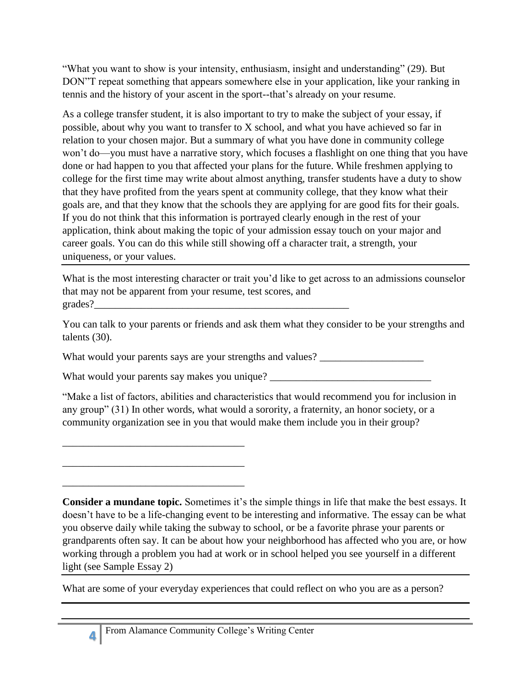"What you want to show is your intensity, enthusiasm, insight and understanding" (29). But DON"T repeat something that appears somewhere else in your application, like your ranking in tennis and the history of your ascent in the sport--that's already on your resume.

As a college transfer student, it is also important to try to make the subject of your essay, if possible, about why you want to transfer to X school, and what you have achieved so far in relation to your chosen major. But a summary of what you have done in community college won't do—you must have a narrative story, which focuses a flashlight on one thing that you have done or had happen to you that affected your plans for the future. While freshmen applying to college for the first time may write about almost anything, transfer students have a duty to show that they have profited from the years spent at community college, that they know what their goals are, and that they know that the schools they are applying for are good fits for their goals. If you do not think that this information is portrayed clearly enough in the rest of your application, think about making the topic of your admission essay touch on your major and career goals. You can do this while still showing off a character trait, a strength, your uniqueness, or your values.

What is the most interesting character or trait you'd like to get across to an admissions counselor that may not be apparent from your resume, test scores, and grades?\_\_\_\_\_\_\_\_\_\_\_\_\_\_\_\_\_\_\_\_\_\_\_\_\_\_\_\_\_\_\_\_\_\_\_\_\_\_\_\_\_\_\_\_\_\_\_\_\_

You can talk to your parents or friends and ask them what they consider to be your strengths and talents (30).

What would your parents says are your strengths and values? \_\_\_\_\_\_\_\_\_\_\_\_\_\_\_\_\_\_\_\_\_

What would your parents say makes you unique? \_\_\_\_\_\_\_\_\_\_\_\_\_\_\_\_\_\_\_\_\_\_\_\_\_\_\_\_\_\_\_\_\_\_

"Make a list of factors, abilities and characteristics that would recommend you for inclusion in any group" (31) In other words, what would a sorority, a fraternity, an honor society, or a community organization see in you that would make them include you in their group?

**Consider a mundane topic.** Sometimes it's the simple things in life that make the best essays. It doesn't have to be a life-changing event to be interesting and informative. The essay can be what you observe daily while taking the subway to school, or be a favorite phrase your parents or grandparents often say. It can be about how your neighborhood has affected who you are, or how working through a problem you had at work or in school helped you see yourself in a different light (see Sample Essay 2)

What are some of your everyday experiences that could reflect on who you are as a person?

\_\_\_\_\_\_\_\_\_\_\_\_\_\_\_\_\_\_\_\_\_\_\_\_\_\_\_\_\_\_\_\_\_\_\_

\_\_\_\_\_\_\_\_\_\_\_\_\_\_\_\_\_\_\_\_\_\_\_\_\_\_\_\_\_\_\_\_\_\_\_

\_\_\_\_\_\_\_\_\_\_\_\_\_\_\_\_\_\_\_\_\_\_\_\_\_\_\_\_\_\_\_\_\_\_\_

**4**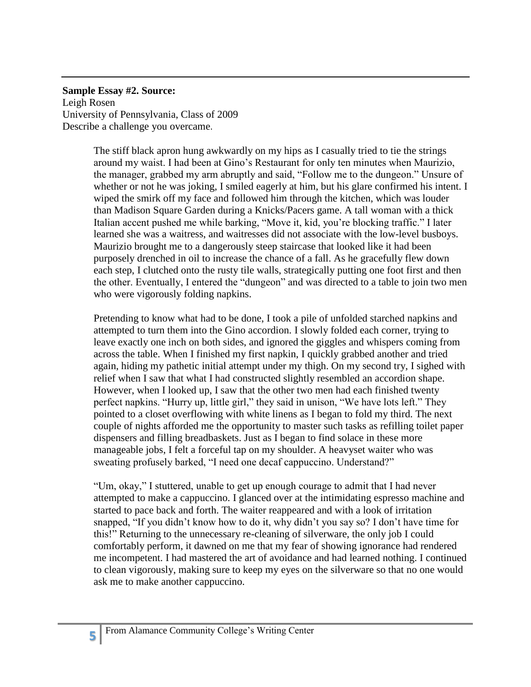## **Sample Essay #2. Source:**

Leigh Rosen University of Pennsylvania, Class of 2009 Describe a challenge you overcame.

> The stiff black apron hung awkwardly on my hips as I casually tried to tie the strings around my waist. I had been at Gino's Restaurant for only ten minutes when Maurizio, the manager, grabbed my arm abruptly and said, "Follow me to the dungeon." Unsure of whether or not he was joking, I smiled eagerly at him, but his glare confirmed his intent. I wiped the smirk off my face and followed him through the kitchen, which was louder than Madison Square Garden during a Knicks/Pacers game. A tall woman with a thick Italian accent pushed me while barking, "Move it, kid, you're blocking traffic." I later learned she was a waitress, and waitresses did not associate with the low-level busboys. Maurizio brought me to a dangerously steep staircase that looked like it had been purposely drenched in oil to increase the chance of a fall. As he gracefully flew down each step, I clutched onto the rusty tile walls, strategically putting one foot first and then the other. Eventually, I entered the "dungeon" and was directed to a table to join two men who were vigorously folding napkins.

> Pretending to know what had to be done, I took a pile of unfolded starched napkins and attempted to turn them into the Gino accordion. I slowly folded each corner, trying to leave exactly one inch on both sides, and ignored the giggles and whispers coming from across the table. When I finished my first napkin, I quickly grabbed another and tried again, hiding my pathetic initial attempt under my thigh. On my second try, I sighed with relief when I saw that what I had constructed slightly resembled an accordion shape. However, when I looked up, I saw that the other two men had each finished twenty perfect napkins. "Hurry up, little girl," they said in unison, "We have lots left." They pointed to a closet overflowing with white linens as I began to fold my third. The next couple of nights afforded me the opportunity to master such tasks as refilling toilet paper dispensers and filling breadbaskets. Just as I began to find solace in these more manageable jobs, I felt a forceful tap on my shoulder. A heavyset waiter who was sweating profusely barked, "I need one decaf cappuccino. Understand?"

> "Um, okay," I stuttered, unable to get up enough courage to admit that I had never attempted to make a cappuccino. I glanced over at the intimidating espresso machine and started to pace back and forth. The waiter reappeared and with a look of irritation snapped, "If you didn't know how to do it, why didn't you say so? I don't have time for this!" Returning to the unnecessary re-cleaning of silverware, the only job I could comfortably perform, it dawned on me that my fear of showing ignorance had rendered me incompetent. I had mastered the art of avoidance and had learned nothing. I continued to clean vigorously, making sure to keep my eyes on the silverware so that no one would ask me to make another cappuccino.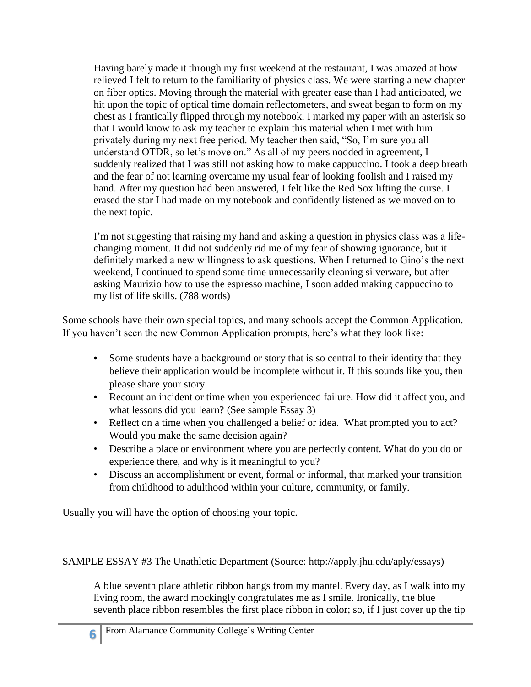Having barely made it through my first weekend at the restaurant, I was amazed at how relieved I felt to return to the familiarity of physics class. We were starting a new chapter on fiber optics. Moving through the material with greater ease than I had anticipated, we hit upon the topic of optical time domain reflectometers, and sweat began to form on my chest as I frantically flipped through my notebook. I marked my paper with an asterisk so that I would know to ask my teacher to explain this material when I met with him privately during my next free period. My teacher then said, "So, I'm sure you all understand OTDR, so let's move on." As all of my peers nodded in agreement, I suddenly realized that I was still not asking how to make cappuccino. I took a deep breath and the fear of not learning overcame my usual fear of looking foolish and I raised my hand. After my question had been answered, I felt like the Red Sox lifting the curse. I erased the star I had made on my notebook and confidently listened as we moved on to the next topic.

I'm not suggesting that raising my hand and asking a question in physics class was a lifechanging moment. It did not suddenly rid me of my fear of showing ignorance, but it definitely marked a new willingness to ask questions. When I returned to Gino's the next weekend, I continued to spend some time unnecessarily cleaning silverware, but after asking Maurizio how to use the espresso machine, I soon added making cappuccino to my list of life skills. (788 words)

Some schools have their own special topics, and many schools accept the Common Application. If you haven't seen the new Common Application prompts, here's what they look like:

- Some students have a background or story that is so central to their identity that they believe their application would be incomplete without it. If this sounds like you, then please share your story.
- Recount an incident or time when you experienced failure. How did it affect you, and what lessons did you learn? (See sample Essay 3)
- Reflect on a time when you challenged a belief or idea. What prompted you to act? Would you make the same decision again?
- Describe a place or environment where you are perfectly content. What do you do or experience there, and why is it meaningful to you?
- Discuss an accomplishment or event, formal or informal, that marked your transition from childhood to adulthood within your culture, community, or family.

Usually you will have the option of choosing your topic.

SAMPLE ESSAY #3 The Unathletic Department (Source: http://apply.jhu.edu/aply/essays)

A blue seventh place athletic ribbon hangs from my mantel. Every day, as I walk into my living room, the award mockingly congratulates me as I smile. Ironically, the blue seventh place ribbon resembles the first place ribbon in color; so, if I just cover up the tip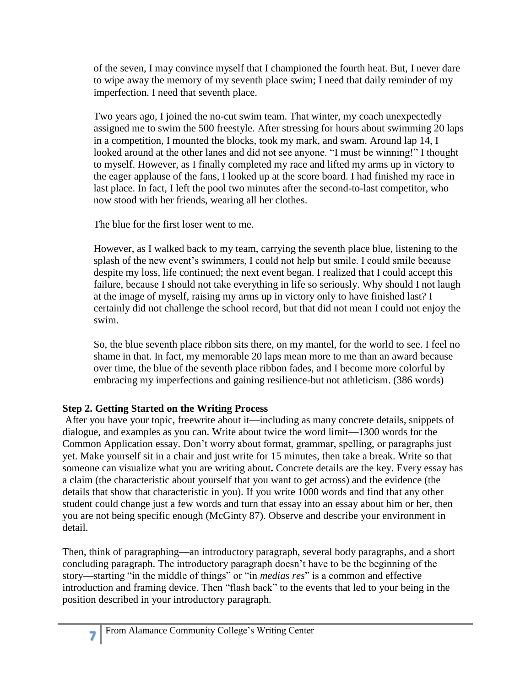of the seven, I may convince myself that I championed the fourth heat. But, I never dare to wipe away the memory of my seventh place swim; I need that daily reminder of my imperfection. I need that seventh place.

Two years ago, I joined the no-cut swim team. That winter, my coach unexpectedly assigned me to swim the 500 freestyle. After stressing for hours about swimming 20 laps in a competition, I mounted the blocks, took my mark, and swam. Around lap 14, I looked around at the other lanes and did not see anyone. "I must be winning!" I thought to myself. However, as I finally completed my race and lifted my arms up in victory to the eager applause of the fans, I looked up at the score board. I had finished my race in last place. In fact, I left the pool two minutes after the second-to-last competitor, who now stood with her friends, wearing all her clothes.

The blue for the first loser went to me.

However, as I walked back to my team, carrying the seventh place blue, listening to the splash of the new event's swimmers, I could not help but smile. I could smile because despite my loss, life continued; the next event began. I realized that I could accept this failure, because I should not take everything in life so seriously. Why should I not laugh at the image of myself, raising my arms up in victory only to have finished last? I certainly did not challenge the school record, but that did not mean I could not enjoy the swim.

So, the blue seventh place ribbon sits there, on my mantel, for the world to see. I feel no shame in that. In fact, my memorable 20 laps mean more to me than an award because over time, the blue of the seventh place ribbon fades, and I become more colorful by embracing my imperfections and gaining resilience-but not athleticism. (386 words)

## **Step 2. Getting Started on the Writing Process**

After you have your topic, freewrite about it—including as many concrete details, snippets of dialogue, and examples as you can. Write about twice the word limit—1300 words for the Common Application essay. Don't worry about format, grammar, spelling, or paragraphs just yet. Make yourself sit in a chair and just write for 15 minutes, then take a break. Write so that someone can visualize what you are writing about**.** Concrete details are the key. Every essay has a claim (the characteristic about yourself that you want to get across) and the evidence (the details that show that characteristic in you). If you write 1000 words and find that any other student could change just a few words and turn that essay into an essay about him or her, then you are not being specific enough (McGinty 87). Observe and describe your environment in detail.

Then, think of paragraphing—an introductory paragraph, several body paragraphs, and a short concluding paragraph. The introductory paragraph doesn't have to be the beginning of the story—starting "in the middle of things" or "in *medias res*" is a common and effective introduction and framing device. Then "flash back" to the events that led to your being in the position described in your introductory paragraph.

**7**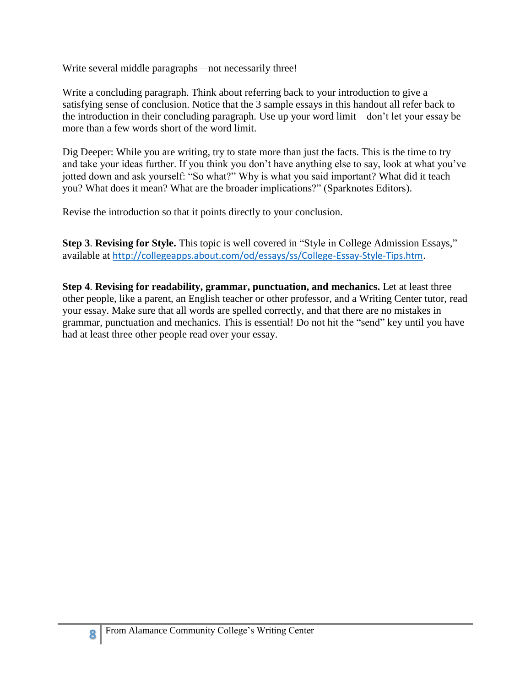Write several middle paragraphs—not necessarily three!

Write a concluding paragraph. Think about referring back to your introduction to give a satisfying sense of conclusion. Notice that the 3 sample essays in this handout all refer back to the introduction in their concluding paragraph. Use up your word limit—don't let your essay be more than a few words short of the word limit.

Dig Deeper: While you are writing, try to state more than just the facts. This is the time to try and take your ideas further. If you think you don't have anything else to say, look at what you've jotted down and ask yourself: "So what?" Why is what you said important? What did it teach you? What does it mean? What are the broader implications?" (Sparknotes Editors).

Revise the introduction so that it points directly to your conclusion.

**Step 3**. **Revising for Style.** This topic is well covered in "Style in College Admission Essays," available at [http://collegeapps.about.com/od/essays/ss/College-Essay-Style-Tips.htm.](http://collegeapps.about.com/od/essays/ss/College-Essay-Style-Tips.htm)

**Step 4**. **Revising for readability, grammar, punctuation, and mechanics.** Let at least three other people, like a parent, an English teacher or other professor, and a Writing Center tutor, read your essay. Make sure that all words are spelled correctly, and that there are no mistakes in grammar, punctuation and mechanics. This is essential! Do not hit the "send" key until you have had at least three other people read over your essay.